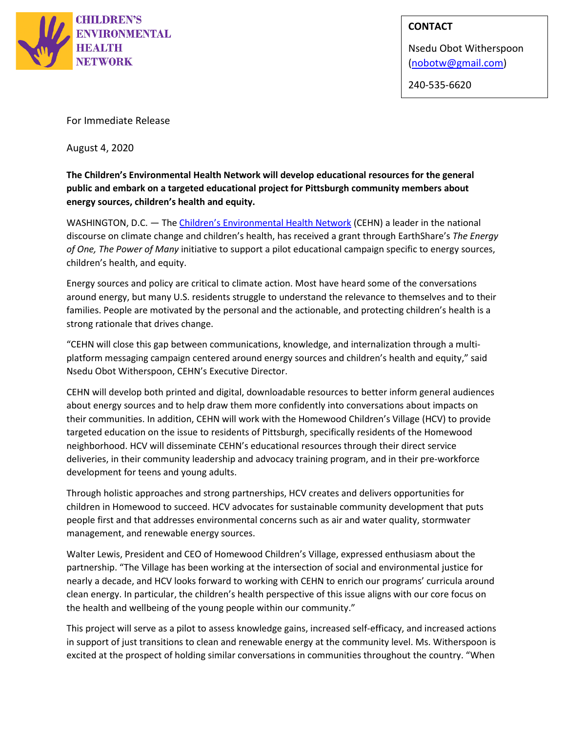

## **CONTACT**

Nsedu Obot Witherspoon [\(nobotw@gmail.com\)](mailto:nobotw@gmail.com)

240-535-6620

For Immediate Release

August 4, 2020

**The Children's Environmental Health Network will develop educational resources for the general public and embark on a targeted educational project for Pittsburgh community members about energy sources, children's health and equity.**

WASHINGTON, D.C. - The [Children's Environmental Health Network](http://www.cehn.org/) (CEHN) a leader in the national discourse on climate change and children's health, has received a grant through EarthShare's *The Energy of One, The Power of Many* initiative to support a pilot educational campaign specific to energy sources, children's health, and equity.

Energy sources and policy are critical to climate action. Most have heard some of the conversations around energy, but many U.S. residents struggle to understand the relevance to themselves and to their families. People are motivated by the personal and the actionable, and protecting children's health is a strong rationale that drives change.

"CEHN will close this gap between communications, knowledge, and internalization through a multiplatform messaging campaign centered around energy sources and children's health and equity," said Nsedu Obot Witherspoon, CEHN's Executive Director.

CEHN will develop both printed and digital, downloadable resources to better inform general audiences about energy sources and to help draw them more confidently into conversations about impacts on their communities. In addition, CEHN will work with the Homewood Children's Village (HCV) to provide targeted education on the issue to residents of Pittsburgh, specifically residents of the Homewood neighborhood. HCV will disseminate CEHN's educational resources through their direct service deliveries, in their community leadership and advocacy training program, and in their pre-workforce development for teens and young adults.

Through holistic approaches and strong partnerships, HCV creates and delivers opportunities for children in Homewood to succeed. HCV advocates for sustainable community development that puts people first and that addresses environmental concerns such as air and water quality, stormwater management, and renewable energy sources.

Walter Lewis, President and CEO of Homewood Children's Village, expressed enthusiasm about the partnership. "The Village has been working at the intersection of social and environmental justice for nearly a decade, and HCV looks forward to working with CEHN to enrich our programs' curricula around clean energy. In particular, the children's health perspective of this issue aligns with our core focus on the health and wellbeing of the young people within our community."

This project will serve as a pilot to assess knowledge gains, increased self-efficacy, and increased actions in support of just transitions to clean and renewable energy at the community level. Ms. Witherspoon is excited at the prospect of holding similar conversations in communities throughout the country. "When